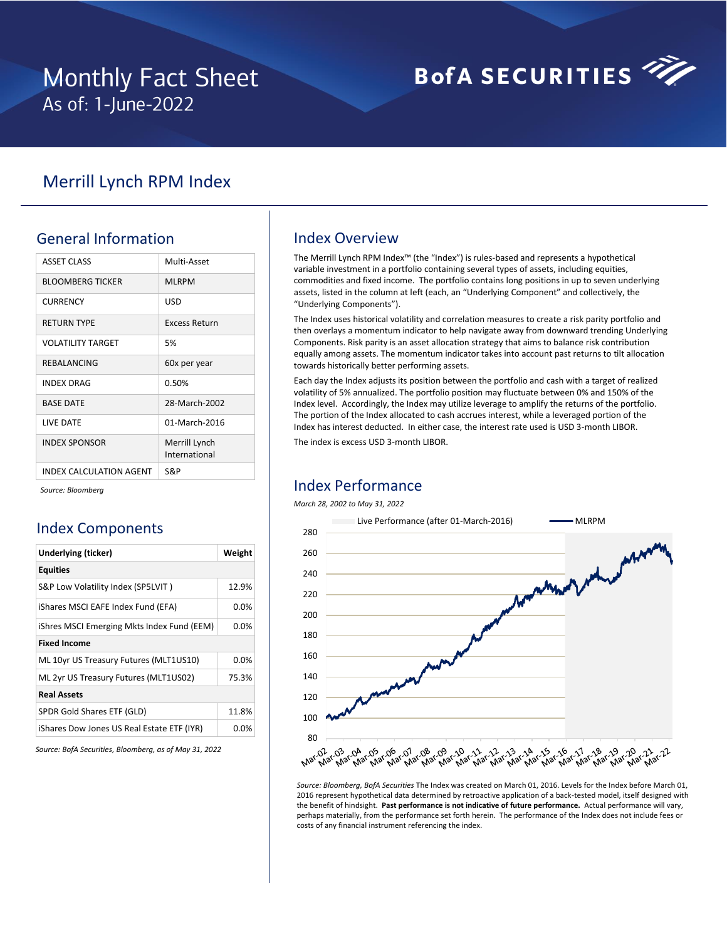## **Monthly Fact Sheet** As of: 1-June-2022

# **BofA SECURITIES**

## Merrill Lynch RPM Index

## General Information

| <b>ASSET CLASS</b>      | Multi-Asset                    |
|-------------------------|--------------------------------|
| <b>BLOOMBERG TICKER</b> | <b>MLRPM</b>                   |
| <b>CURRENCY</b>         | USD                            |
| <b>RETURN TYPE</b>      | Excess Return                  |
| VOLATILITY TARGET       | 5%                             |
| REBALANCING             | 60x per year                   |
| <b>INDEX DRAG</b>       | 0.50%                          |
| <b>BASE DATE</b>        | 28-March-2002                  |
| <b>I IVE DATE</b>       | 01-March-2016                  |
| <b>INDEX SPONSOR</b>    | Merrill Lynch<br>International |
| INDEX CALCULATION AGENT | S&P                            |

*Source: Bloomberg*

## Index Components

| Underlying (ticker)                        | Weight  |  |  |  |  |  |  |
|--------------------------------------------|---------|--|--|--|--|--|--|
| <b>Equities</b>                            |         |  |  |  |  |  |  |
| S&P Low Volatility Index (SP5LVIT)         | 12.9%   |  |  |  |  |  |  |
| iShares MSCI EAFE Index Fund (EFA)         | $0.0\%$ |  |  |  |  |  |  |
| iShres MSCI Emerging Mkts Index Fund (EEM) | $0.0\%$ |  |  |  |  |  |  |
| <b>Fixed Income</b>                        |         |  |  |  |  |  |  |
| ML 10yr US Treasury Futures (MLT1US10)     | $0.0\%$ |  |  |  |  |  |  |
| ML 2yr US Treasury Futures (MLT1US02)      | 75.3%   |  |  |  |  |  |  |
| <b>Real Assets</b>                         |         |  |  |  |  |  |  |
| SPDR Gold Shares ETF (GLD)                 | 11.8%   |  |  |  |  |  |  |
| iShares Dow Jones US Real Estate ETF (IYR) | 0.0%    |  |  |  |  |  |  |

*Source: BofA Securities, Bloomberg, as of May 31, 2022*

## Index Overview

The Merrill Lynch RPM Index™ (the "Index") is rules-based and represents a hypothetical variable investment in a portfolio containing several types of assets, including equities, commodities and fixed income. The portfolio contains long positions in up to seven underlying assets, listed in the column at left (each, an "Underlying Component" and collectively, the "Underlying Components").

The Index uses historical volatility and correlation measures to create a risk parity portfolio and then overlays a momentum indicator to help navigate away from downward trending Underlying Components. Risk parity is an asset allocation strategy that aims to balance risk contribution equally among assets. The momentum indicator takes into account past returns to tilt allocation towards historically better performing assets.

Each day the Index adjusts its position between the portfolio and cash with a target of realized volatility of 5% annualized. The portfolio position may fluctuate between 0% and 150% of the Index level. Accordingly, the Index may utilize leverage to amplify the returns of the portfolio. The portion of the Index allocated to cash accrues interest, while a leveraged portion of the Index has interest deducted. In either case, the interest rate used is USD 3-month LIBOR.

The index is excess USD 3-month LIBOR.

### Index Performance

### *March 28, 2002 to May 31, 2022*



*Source: Bloomberg, BofA Securities* The Index was created on March 01, 2016. Levels for the Index before March 01, 2016 represent hypothetical data determined by retroactive application of a back-tested model, itself designed with the benefit of hindsight. **Past performance is not indicative of future performance.** Actual performance will vary, perhaps materially, from the performance set forth herein. The performance of the Index does not include fees or costs of any financial instrument referencing the index.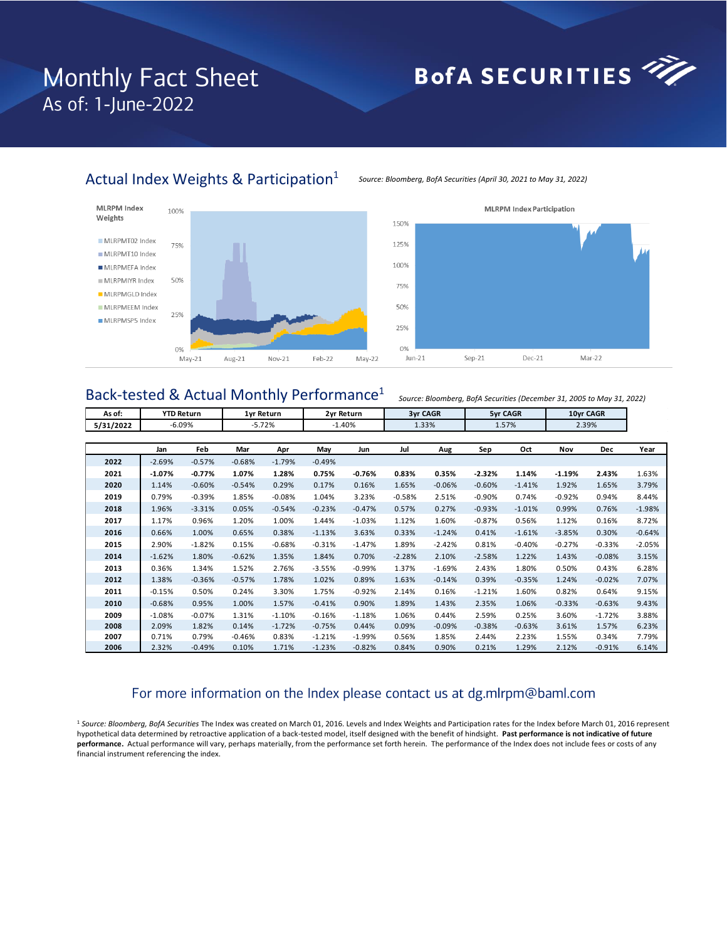## **Monthly Fact Sheet** As of: 1-June-2022

─┌

# BofA SECURITIES

## Actual Index Weights & Participation<sup>1</sup>







#### **MLRPM Index Participation**

## Back-tested & Actual Monthly Performance<sup>1</sup> **As of:**

*Source: Bloomberg, BofA Securities (December 31, 2005 to May 31, 2022)*

┓

| As of:    | <b>YTD Return</b> |          |          | 1yr Return |          | 2yr Return | <b>3yr CAGR</b> |          |          | 5yr CAGR | 10yr CAGR |          |          |
|-----------|-------------------|----------|----------|------------|----------|------------|-----------------|----------|----------|----------|-----------|----------|----------|
| 5/31/2022 | $-6.09%$          |          |          | $-5.72%$   | $-1.40%$ |            | 1.33%           |          | 1.57%    |          | 2.39%     |          |          |
|           |                   |          |          |            |          |            |                 |          |          |          |           |          |          |
|           | Jan               | Feb      | Mar      | Apr        | May      | Jun        | Jul             | Aug      | Sep      | Oct      | Nov       | Dec      | Year     |
| 2022      | $-2.69%$          | $-0.57%$ | $-0.68%$ | $-1.79%$   | $-0.49%$ |            |                 |          |          |          |           |          |          |
| 2021      | $-1.07\%$         | $-0.77%$ | 1.07%    | 1.28%      | 0.75%    | $-0.76%$   | 0.83%           | 0.35%    | $-2.32%$ | 1.14%    | $-1.19%$  | 2.43%    | 1.63%    |
| 2020      | 1.14%             | $-0.60%$ | $-0.54%$ | 0.29%      | 0.17%    | 0.16%      | 1.65%           | $-0.06%$ | $-0.60%$ | $-1.41%$ | 1.92%     | 1.65%    | 3.79%    |
| 2019      | 0.79%             | $-0.39%$ | 1.85%    | $-0.08%$   | 1.04%    | 3.23%      | $-0.58%$        | 2.51%    | $-0.90%$ | 0.74%    | $-0.92%$  | 0.94%    | 8.44%    |
| 2018      | 1.96%             | $-3.31%$ | 0.05%    | $-0.54%$   | $-0.23%$ | $-0.47%$   | 0.57%           | 0.27%    | $-0.93%$ | $-1.01%$ | 0.99%     | 0.76%    | $-1.98%$ |
| 2017      | 1.17%             | 0.96%    | 1.20%    | 1.00%      | 1.44%    | $-1.03%$   | 1.12%           | 1.60%    | $-0.87%$ | 0.56%    | 1.12%     | 0.16%    | 8.72%    |
| 2016      | 0.66%             | 1.00%    | 0.65%    | 0.38%      | $-1.13%$ | 3.63%      | 0.33%           | $-1.24%$ | 0.41%    | $-1.61%$ | $-3.85%$  | 0.30%    | $-0.64%$ |
| 2015      | 2.90%             | $-1.82%$ | 0.15%    | $-0.68%$   | $-0.31%$ | $-1.47%$   | 1.89%           | $-2.42%$ | 0.81%    | $-0.40%$ | $-0.27%$  | $-0.33%$ | $-2.05%$ |
| 2014      | $-1.62%$          | 1.80%    | $-0.62%$ | 1.35%      | 1.84%    | 0.70%      | $-2.28%$        | 2.10%    | $-2.58%$ | 1.22%    | 1.43%     | $-0.08%$ | 3.15%    |
| 2013      | 0.36%             | 1.34%    | 1.52%    | 2.76%      | $-3.55%$ | $-0.99%$   | 1.37%           | $-1.69%$ | 2.43%    | 1.80%    | 0.50%     | 0.43%    | 6.28%    |
| 2012      | 1.38%             | $-0.36%$ | $-0.57%$ | 1.78%      | 1.02%    | 0.89%      | 1.63%           | $-0.14%$ | 0.39%    | $-0.35%$ | 1.24%     | $-0.02%$ | 7.07%    |
| 2011      | $-0.15%$          | 0.50%    | 0.24%    | 3.30%      | 1.75%    | $-0.92%$   | 2.14%           | 0.16%    | $-1.21%$ | 1.60%    | 0.82%     | 0.64%    | 9.15%    |
| 2010      | $-0.68%$          | 0.95%    | 1.00%    | 1.57%      | $-0.41%$ | 0.90%      | 1.89%           | 1.43%    | 2.35%    | 1.06%    | $-0.33%$  | $-0.63%$ | 9.43%    |
| 2009      | $-1.08%$          | $-0.07%$ | 1.31%    | $-1.10%$   | $-0.16%$ | $-1.18%$   | 1.06%           | 0.44%    | 2.59%    | 0.25%    | 3.60%     | $-1.72%$ | 3.88%    |
| 2008      | 2.09%             | 1.82%    | 0.14%    | $-1.72%$   | $-0.75%$ | 0.44%      | 0.09%           | $-0.09%$ | $-0.38%$ | $-0.63%$ | 3.61%     | 1.57%    | 6.23%    |
| 2007      | 0.71%             | 0.79%    | $-0.46%$ | 0.83%      | $-1.21%$ | $-1.99%$   | 0.56%           | 1.85%    | 2.44%    | 2.23%    | 1.55%     | 0.34%    | 7.79%    |
| 2006      | 2.32%             | $-0.49%$ | 0.10%    | 1.71%      | $-1.23%$ | $-0.82%$   | 0.84%           | 0.90%    | 0.21%    | 1.29%    | 2.12%     | $-0.91%$ | 6.14%    |

## For more information on the Index please contact us at dg.mlrpm@baml.com

<sup>1</sup> *Source: Bloomberg, BofA Securities* The Index was created on March 01, 2016. Levels and Index Weights and Participation rates for the Index before March 01, 2016 represent hypothetical data determined by retroactive application of a back-tested model, itself designed with the benefit of hindsight. **Past performance is not indicative of future performance.** Actual performance will vary, perhaps materially, from the performance set forth herein. The performance of the Index does not include fees or costs of any financial instrument referencing the index.